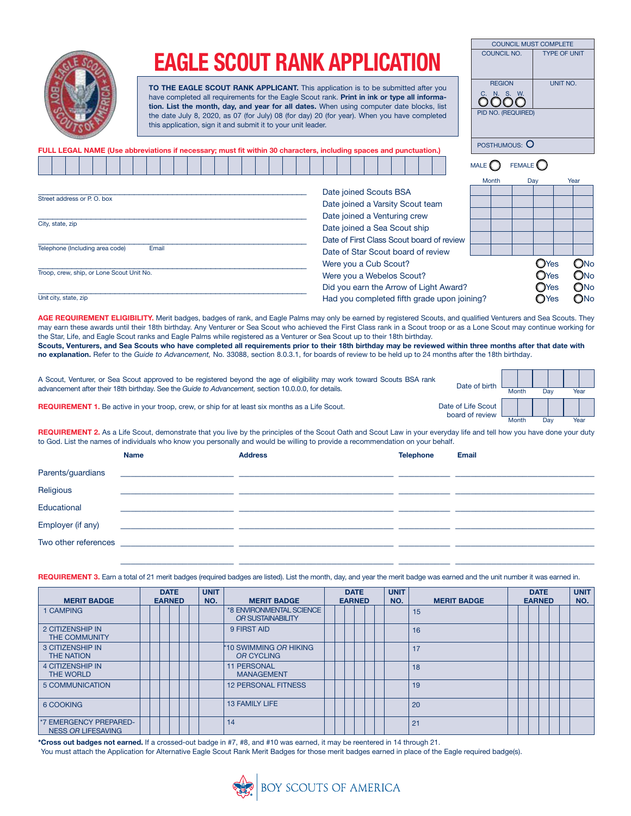

## EAGLE SCOUT RANK APPLICATION

TO THE EAGLE SCOUT RANK APPLICANT. This application is to be submitted after you have completed all requirements for the Eagle Scout rank. Print in ink or type all information. List the month, day, and year for all dates. When using computer date blocks, list the date July 8, 2020, as 07 (for July) 08 (for day) 20 (for year). When you have completed this application, sign it and submit it to your unit leader.

| <b>COUNCIL MUST COMPLETE</b>      |     |                     |      |
|-----------------------------------|-----|---------------------|------|
| COUNCIL NO.                       |     | <b>TYPE OF UNIT</b> |      |
|                                   |     |                     |      |
|                                   |     |                     |      |
| <b>REGION</b>                     |     | UNIT NO.            |      |
| N. S. W.                          |     |                     |      |
|                                   |     |                     |      |
| PID NO. (REQUIRED)                |     |                     |      |
|                                   |     |                     |      |
|                                   |     |                     |      |
| POSTHUMOUS: O                     |     |                     |      |
|                                   |     |                     |      |
| MALE $\bigcirc$ FEMALE $\bigcirc$ |     |                     |      |
|                                   |     |                     |      |
| Month                             | Day |                     | Year |
|                                   |     |                     |      |
|                                   |     |                     |      |
|                                   |     |                     |      |
|                                   |     |                     |      |
|                                   |     |                     |      |
|                                   |     |                     |      |

|  |  |  |  |  |  |  |  |  |  |  |  |  |  | FULL LEGAL NAME (Use abbreviations if necessary; must fit within 30 characters, including spaces and punctuation.) |  |
|--|--|--|--|--|--|--|--|--|--|--|--|--|--|--------------------------------------------------------------------------------------------------------------------|--|
|  |  |  |  |  |  |  |  |  |  |  |  |  |  |                                                                                                                    |  |

|                                           |                                             | Month | Day |                  | Year |
|-------------------------------------------|---------------------------------------------|-------|-----|------------------|------|
|                                           | Date joined Scouts BSA                      |       |     |                  |      |
| Street address or P.O. box                | Date joined a Varsity Scout team            |       |     |                  |      |
|                                           | Date joined a Venturing crew                |       |     |                  |      |
| City, state, zip                          | Date joined a Sea Scout ship                |       |     |                  |      |
|                                           | Date of First Class Scout board of review   |       |     |                  |      |
| Telephone (Including area code)<br>Email  | Date of Star Scout board of review          |       |     |                  |      |
|                                           | Were you a Cub Scout?                       |       |     | O <sub>Yes</sub> | ONo  |
| Troop, crew, ship, or Lone Scout Unit No. | Were you a Webelos Scout?                   |       |     | <b>O</b> Yes     | ONo  |
|                                           | Did you earn the Arrow of Light Award?      |       |     | OYes             | ONo  |
| Unit city, state, zip                     | Had you completed fifth grade upon joining? |       |     | OYes             | ONo  |

AGE REQUIREMENT ELIGIBILITY. Merit badges, badges of rank, and Eagle Palms may only be earned by registered Scouts, and qualified Venturers and Sea Scouts. They may earn these awards until their 18th birthday. Any Venturer or Sea Scout who achieved the First Class rank in a Scout troop or as a Lone Scout may continue working for the Star, Life, and Eagle Scout ranks and Eagle Palms while registered as a Venturer or Sea Scout up to their 18th birthday.

Scouts, Venturers, and Sea Scouts who have completed all requirements prior to their 18th birthday may be reviewed within three months after that date with no explanation. Refer to the *Guide to Advancement,* No. 33088, section 8.0.3.1, for boards of review to be held up to 24 months after the 18th birthday.

| A Scout, Venturer, or Sea Scout approved to be registered beyond the age of eligibility may work toward Scouts BSA rank | Date of birth                         |       |     |      |
|-------------------------------------------------------------------------------------------------------------------------|---------------------------------------|-------|-----|------|
| advancement after their 18th birthday. See the Guide to Advancement, section 10.0.0.0, for details.                     |                                       | Month | Dav | Year |
| <b>REQUIREMENT 1.</b> Be active in your troop, crew, or ship for at least six months as a Life Scout.                   | Date of Life Scout<br>board of review |       |     |      |
|                                                                                                                         |                                       | Month | Dav | Year |

REQUIREMENT 2. As a Life Scout, demonstrate that you live by the principles of the Scout Oath and Scout Law in your everyday life and tell how you have done your duty to God. List the names of individuals who know you personally and would be willing to provide a recommendation on your behalf.

|                      | <b>Name</b>                                                                                                          | <b>Address</b> | <b>Telephone</b> | <b>Email</b> |
|----------------------|----------------------------------------------------------------------------------------------------------------------|----------------|------------------|--------------|
| Parents/guardians    |                                                                                                                      |                |                  |              |
| Religious            |                                                                                                                      |                |                  |              |
| Educational          |                                                                                                                      |                |                  |              |
| Employer (if any)    | <u> 1980 - Jan James James James James James James James James James James James James James James James James J</u> |                |                  |              |
| Two other references |                                                                                                                      |                |                  |              |
|                      |                                                                                                                      |                |                  |              |

REQUIREMENT 3. Earn a total of 21 merit badges (required badges are listed). List the month, day, and year the merit badge was earned and the unit number it was earned in.

| <b>MERIT BADGE</b>                                              | <b>DATE</b><br><b>EARNED</b> |  |  |  |                                               |  | <b>UNIT</b><br>NO. | <b>MERIT BADGE</b> | <b>DATE</b><br><b>EARNED</b> | <b>UNIT</b><br>NO. | <b>MERIT BADGE</b> |  | <b>DATE</b><br><b>EARNED</b> |  | UNIT<br>NO. |
|-----------------------------------------------------------------|------------------------------|--|--|--|-----------------------------------------------|--|--------------------|--------------------|------------------------------|--------------------|--------------------|--|------------------------------|--|-------------|
| <b>CAMPING</b>                                                  |                              |  |  |  | *8 ENVIRONMENTAL SCIENCE<br>OR SUSTAINABILITY |  |                    | 15                 |                              |                    |                    |  |                              |  |             |
| 2 CITIZENSHIP IN<br><b>THE COMMUNITY</b>                        |                              |  |  |  | 9 FIRST AID                                   |  |                    | 16                 |                              |                    |                    |  |                              |  |             |
| <b>3 CITIZENSHIP IN</b><br><b>THE NATION</b>                    |                              |  |  |  | <b>*10 SWIMMING OR HIKING</b><br>OR CYCLING   |  |                    | 17                 |                              |                    |                    |  |                              |  |             |
| <b>4 CITIZENSHIP IN</b><br>THE WORLD                            |                              |  |  |  | <b>11 PERSONAL</b><br><b>MANAGEMENT</b>       |  |                    | 18                 |                              |                    |                    |  |                              |  |             |
| 5 COMMUNICATION                                                 |                              |  |  |  | <b>12 PERSONAL FITNESS</b>                    |  |                    | 19                 |                              |                    |                    |  |                              |  |             |
| 6 COOKING                                                       |                              |  |  |  | <b>13 FAMILY LIFE</b>                         |  |                    | 20                 |                              |                    |                    |  |                              |  |             |
| <sup>1</sup> 7 EMERGENCY PREPARED-<br><b>NESS OR LIFESAVING</b> |                              |  |  |  | 14                                            |  |                    | 21                 |                              |                    |                    |  |                              |  |             |

\*Cross out badges not earned. If a crossed-out badge in #7, #8, and #10 was earned, it may be reentered in 14 through 21.

You must attach the Application for Alternative Eagle Scout Rank Merit Badges for those merit badges earned in place of the Eagle required badge(s).